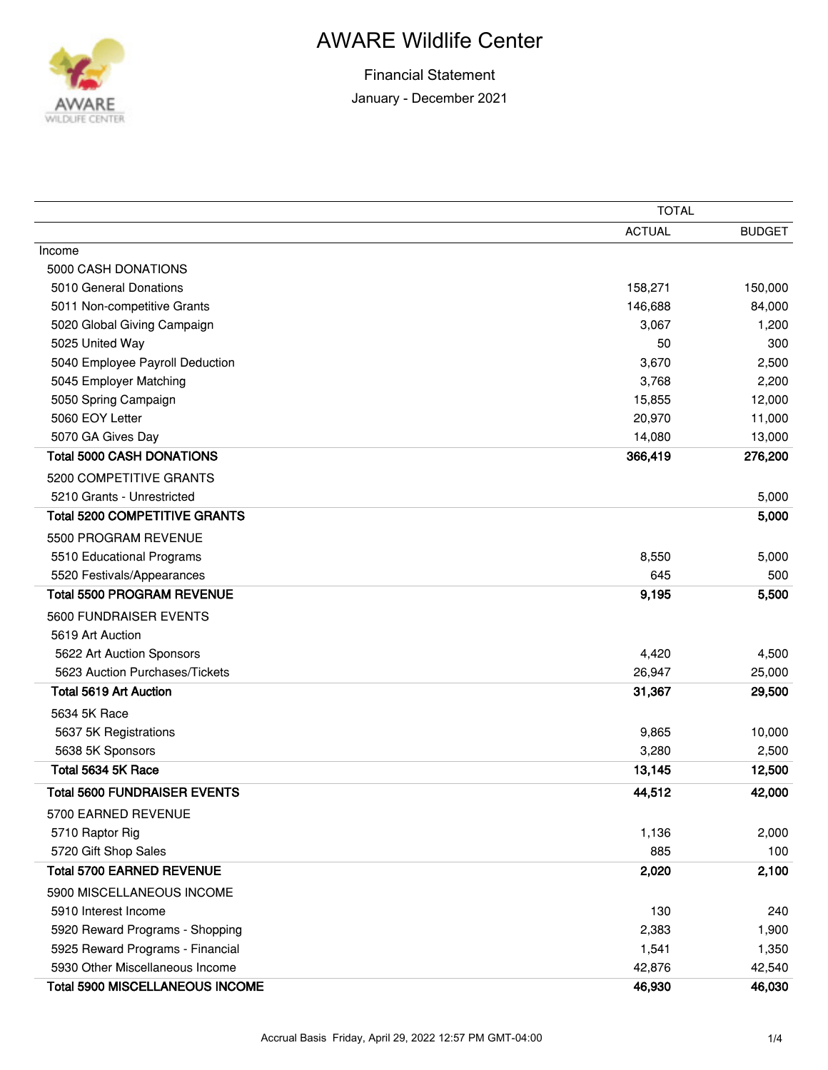

|                                        | <b>TOTAL</b>  |               |  |
|----------------------------------------|---------------|---------------|--|
|                                        | <b>ACTUAL</b> | <b>BUDGET</b> |  |
| Income                                 |               |               |  |
| 5000 CASH DONATIONS                    |               |               |  |
| 5010 General Donations                 | 158,271       | 150,000       |  |
| 5011 Non-competitive Grants            | 146,688       | 84,000        |  |
| 5020 Global Giving Campaign            | 3,067         | 1,200         |  |
| 5025 United Way                        | 50            | 300           |  |
| 5040 Employee Payroll Deduction        | 3,670         | 2,500         |  |
| 5045 Employer Matching                 | 3,768         | 2,200         |  |
| 5050 Spring Campaign                   | 15,855        | 12,000        |  |
| 5060 EOY Letter                        | 20,970        | 11,000        |  |
| 5070 GA Gives Day                      | 14,080        | 13,000        |  |
| <b>Total 5000 CASH DONATIONS</b>       | 366,419       | 276,200       |  |
| 5200 COMPETITIVE GRANTS                |               |               |  |
| 5210 Grants - Unrestricted             |               | 5,000         |  |
| <b>Total 5200 COMPETITIVE GRANTS</b>   |               | 5,000         |  |
| 5500 PROGRAM REVENUE                   |               |               |  |
| 5510 Educational Programs              | 8,550         | 5,000         |  |
| 5520 Festivals/Appearances             | 645           | 500           |  |
| <b>Total 5500 PROGRAM REVENUE</b>      | 9,195         | 5,500         |  |
| 5600 FUNDRAISER EVENTS                 |               |               |  |
| 5619 Art Auction                       |               |               |  |
| 5622 Art Auction Sponsors              | 4,420         | 4,500         |  |
| 5623 Auction Purchases/Tickets         | 26,947        | 25,000        |  |
| <b>Total 5619 Art Auction</b>          | 31,367        | 29,500        |  |
| 5634 5K Race                           |               |               |  |
| 5637 5K Registrations                  | 9,865         | 10,000        |  |
| 5638 5K Sponsors                       | 3,280         | 2,500         |  |
| Total 5634 5K Race                     | 13,145        | 12,500        |  |
| <b>Total 5600 FUNDRAISER EVENTS</b>    | 44,512        | 42,000        |  |
| 5700 EARNED REVENUE                    |               |               |  |
| 5710 Raptor Rig                        | 1,136         | 2,000         |  |
| 5720 Gift Shop Sales                   | 885           | 100           |  |
| <b>Total 5700 EARNED REVENUE</b>       | 2,020         | 2,100         |  |
| 5900 MISCELLANEOUS INCOME              |               |               |  |
| 5910 Interest Income                   | 130           | 240           |  |
| 5920 Reward Programs - Shopping        | 2,383         | 1,900         |  |
| 5925 Reward Programs - Financial       | 1,541         | 1,350         |  |
| 5930 Other Miscellaneous Income        | 42,876        | 42,540        |  |
| <b>Total 5900 MISCELLANEOUS INCOME</b> | 46,930        | 46,030        |  |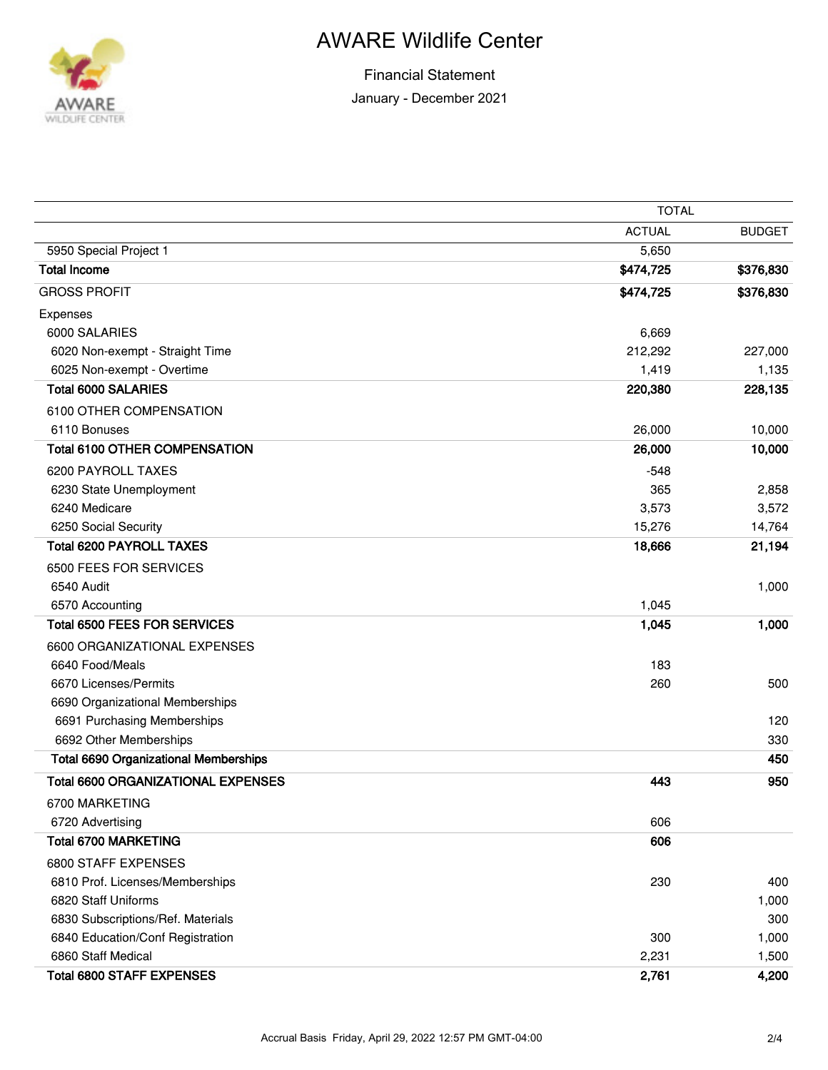

|                                              | <b>TOTAL</b>  |               |
|----------------------------------------------|---------------|---------------|
|                                              | <b>ACTUAL</b> | <b>BUDGET</b> |
| 5950 Special Project 1                       | 5,650         |               |
| <b>Total Income</b>                          | \$474,725     | \$376,830     |
| <b>GROSS PROFIT</b>                          | \$474,725     | \$376,830     |
| Expenses                                     |               |               |
| 6000 SALARIES                                | 6,669         |               |
| 6020 Non-exempt - Straight Time              | 212,292       | 227,000       |
| 6025 Non-exempt - Overtime                   | 1,419         | 1,135         |
| <b>Total 6000 SALARIES</b>                   | 220,380       | 228,135       |
| 6100 OTHER COMPENSATION                      |               |               |
| 6110 Bonuses                                 | 26,000        | 10,000        |
| <b>Total 6100 OTHER COMPENSATION</b>         | 26,000        | 10,000        |
| 6200 PAYROLL TAXES                           | $-548$        |               |
| 6230 State Unemployment                      | 365           | 2,858         |
| 6240 Medicare                                | 3,573         | 3,572         |
| 6250 Social Security                         | 15,276        | 14,764        |
| <b>Total 6200 PAYROLL TAXES</b>              | 18,666        | 21,194        |
| 6500 FEES FOR SERVICES                       |               |               |
| 6540 Audit                                   |               | 1,000         |
| 6570 Accounting                              | 1,045         |               |
| <b>Total 6500 FEES FOR SERVICES</b>          | 1,045         | 1,000         |
| 6600 ORGANIZATIONAL EXPENSES                 |               |               |
| 6640 Food/Meals                              | 183           |               |
| 6670 Licenses/Permits                        | 260           | 500           |
| 6690 Organizational Memberships              |               |               |
| 6691 Purchasing Memberships                  |               | 120           |
| 6692 Other Memberships                       |               | 330           |
| <b>Total 6690 Organizational Memberships</b> |               | 450           |
| <b>Total 6600 ORGANIZATIONAL EXPENSES</b>    | 443           | 950           |
| 6700 MARKETING                               |               |               |
| 6720 Advertising                             | 606           |               |
| <b>Total 6700 MARKETING</b>                  | 606           |               |
| 6800 STAFF EXPENSES                          |               |               |
| 6810 Prof. Licenses/Memberships              | 230           | 400           |
| 6820 Staff Uniforms                          |               | 1,000         |
| 6830 Subscriptions/Ref. Materials            |               | 300           |
| 6840 Education/Conf Registration             | 300           | 1,000         |
| 6860 Staff Medical                           | 2,231         | 1,500         |
| <b>Total 6800 STAFF EXPENSES</b>             | 2,761         | 4,200         |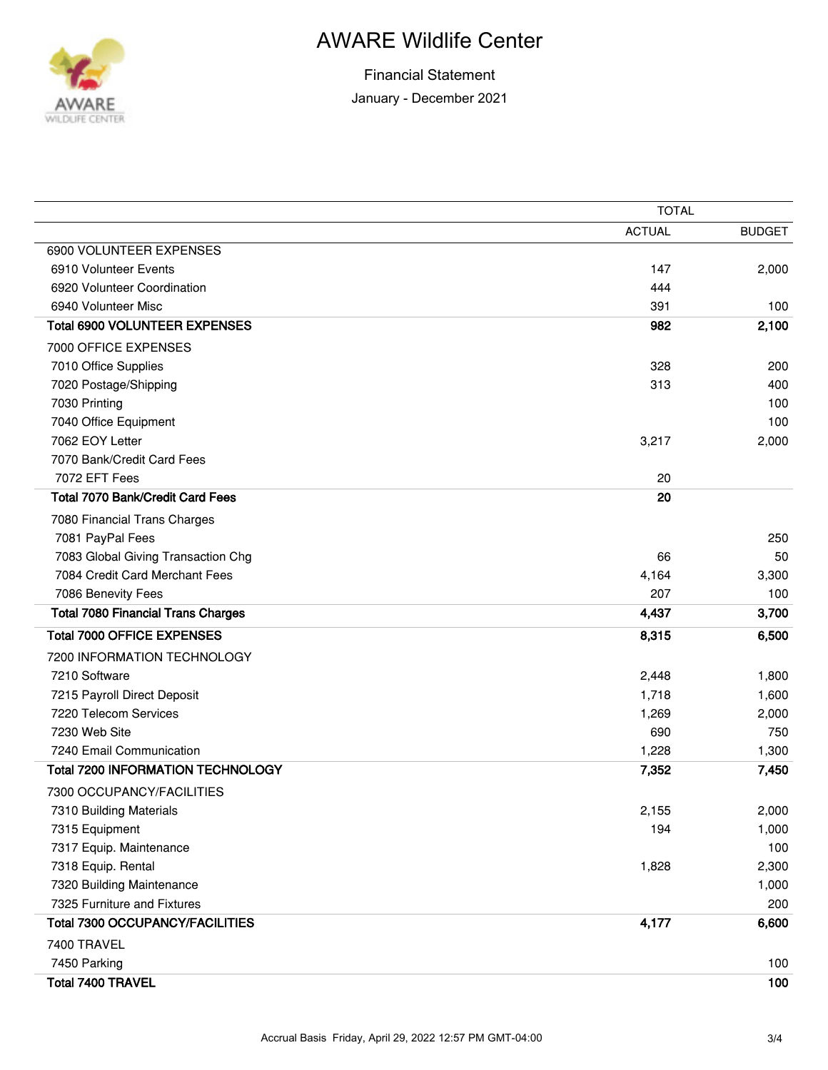

|                                           | <b>TOTAL</b>  |               |  |
|-------------------------------------------|---------------|---------------|--|
|                                           | <b>ACTUAL</b> | <b>BUDGET</b> |  |
| 6900 VOLUNTEER EXPENSES                   |               |               |  |
| 6910 Volunteer Events                     | 147           | 2,000         |  |
| 6920 Volunteer Coordination               | 444           |               |  |
| 6940 Volunteer Misc                       | 391           | 100           |  |
| <b>Total 6900 VOLUNTEER EXPENSES</b>      | 982           | 2,100         |  |
| 7000 OFFICE EXPENSES                      |               |               |  |
| 7010 Office Supplies                      | 328           | 200           |  |
| 7020 Postage/Shipping                     | 313           | 400           |  |
| 7030 Printing                             |               | 100           |  |
| 7040 Office Equipment                     |               | 100           |  |
| 7062 EOY Letter                           | 3,217         | 2,000         |  |
| 7070 Bank/Credit Card Fees                |               |               |  |
| 7072 EFT Fees                             | 20            |               |  |
| Total 7070 Bank/Credit Card Fees          | 20            |               |  |
| 7080 Financial Trans Charges              |               |               |  |
| 7081 PayPal Fees                          |               | 250           |  |
| 7083 Global Giving Transaction Chg        | 66            | 50            |  |
| 7084 Credit Card Merchant Fees            | 4,164         | 3,300         |  |
| 7086 Benevity Fees                        | 207           | 100           |  |
| <b>Total 7080 Financial Trans Charges</b> | 4,437         | 3,700         |  |
| <b>Total 7000 OFFICE EXPENSES</b>         | 8,315         | 6,500         |  |
| 7200 INFORMATION TECHNOLOGY               |               |               |  |
| 7210 Software                             | 2,448         | 1,800         |  |
| 7215 Payroll Direct Deposit               | 1,718         | 1,600         |  |
| 7220 Telecom Services                     | 1,269         | 2,000         |  |
| 7230 Web Site                             | 690           | 750           |  |
| 7240 Email Communication                  | 1,228         | 1,300         |  |
| <b>Total 7200 INFORMATION TECHNOLOGY</b>  | 7,352         | 7,450         |  |
| 7300 OCCUPANCY/FACILITIES                 |               |               |  |
| 7310 Building Materials                   | 2,155         | 2,000         |  |
| 7315 Equipment                            | 194           | 1,000         |  |
| 7317 Equip. Maintenance                   |               | 100           |  |
| 7318 Equip. Rental                        | 1,828         | 2,300         |  |
| 7320 Building Maintenance                 |               | 1,000         |  |
| 7325 Furniture and Fixtures               |               | 200           |  |
| <b>Total 7300 OCCUPANCY/FACILITIES</b>    | 4,177         | 6,600         |  |
| 7400 TRAVEL                               |               |               |  |
| 7450 Parking                              |               | 100           |  |
| Total 7400 TRAVEL                         |               | 100           |  |